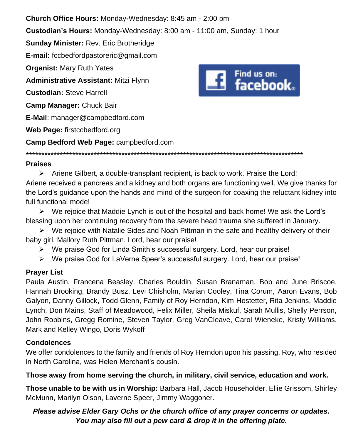**Church Office Hours:** Monday**-**Wednesday: 8:45 am - 2:00 pm **Custodian's Hours:** Monday-Wednesday: 8:00 am - 11:00 am, Sunday: 1 hour **Sunday Minister:** Rev. Eric Brotheridge **E-mail:** fccbedfordpastoreric@gmail.com **Organist:** Mary Ruth Yates **Administrative Assistant:** Mitzi Flynn **Custodian:** Steve Harrell **Camp Manager:** Chuck Bair **E-Mail**: manager@campbedford.com **Web Page:** firstccbedford.org **Camp Bedford Web Page:** campbedford.com

\*\*\*\*\*\*\*\*\*\*\*\*\*\*\*\*\*\*\*\*\*\*\*\*\*\*\*\*\*\*\*\*\*\*\*\*\*\*\*\*\*\*\*\*\*\*\*\*\*\*\*\*\*\*\*\*\*\*\*\*\*\*\*\*\*\*\*\*\*\*\*\*\*\*\*\*\*\*\*\*\*\*\*\*\*\*\*\*\*\*

# Find us on:<br>**Example 3** facebook..

#### **Praises**

 $\triangleright$  Ariene Gilbert, a double-transplant recipient, is back to work. Praise the Lord! Ariene received a pancreas and a kidney and both organs are functioning well. We give thanks for the Lord's guidance upon the hands and mind of the surgeon for coaxing the reluctant kidney into full functional mode!

 $\triangleright$  We rejoice that Maddie Lynch is out of the hospital and back home! We ask the Lord's blessing upon her continuing recovery from the severe head trauma she suffered in January.

 $\triangleright$  We rejoice with Natalie Sides and Noah Pittman in the safe and healthy delivery of their baby girl, Mallory Ruth Pittman. Lord, hear our praise!

➢ We praise God for Linda Smith's successful surgery. Lord, hear our praise!

➢ We praise God for LaVerne Speer's successful surgery. Lord, hear our praise!

### **Prayer List**

Paula Austin, Francena Beasley, Charles Bouldin, Susan Branaman, Bob and June Briscoe, Hannah Brooking, Brandy Busz, Levi Chisholm, Marian Cooley, Tina Corum, Aaron Evans, Bob Galyon, Danny Gillock, Todd Glenn, Family of Roy Herndon, Kim Hostetter, Rita Jenkins, Maddie Lynch, Don Mains, Staff of Meadowood, Felix Miller, Sheila Miskuf, Sarah Mullis, Shelly Perrson, John Robbins, Gregg Romine, Steven Taylor, Greg VanCleave, Carol Wieneke, Kristy Williams, Mark and Kelley Wingo, Doris Wykoff

### **Condolences**

We offer condolences to the family and friends of Roy Herndon upon his passing. Roy, who resided in North Carolina, was Helen Merchant's cousin.

### **Those away from home serving the church, in military, civil service, education and work.**

**Those unable to be with us in Worship:** Barbara Hall, Jacob Householder, Ellie Grissom, Shirley McMunn, Marilyn Olson, Laverne Speer, Jimmy Waggoner.

## *Please advise Elder Gary Ochs or the church office of any prayer concerns or updates. You may also fill out a pew card & drop it in the offering plate.*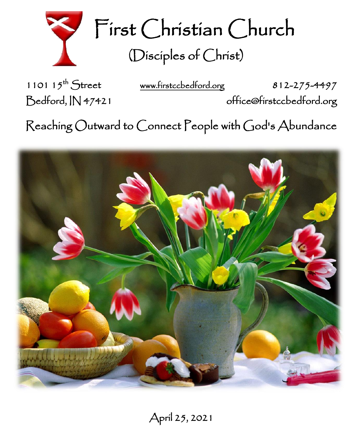

First Christian Church (Disciples of Christ)

1101  $15^{th}$  Street

[www.firstccbedford.org](http://www.firstccbedford.org/) 812-275-4497

Bedford, IN 47421 office@firstccbedford.org

 $\sf Reaching~Outward$  to  $\sf C$ onnect  $\sf P$ eople with  $\sf C$ od's  $\sf Abundance$ 

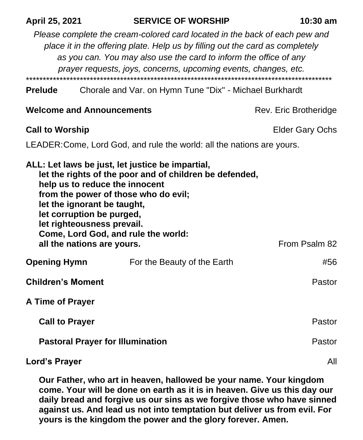| April 25, 2021                                                                                                                                                                                                                                                                                                                                                        |                                         | <b>SERVICE OF WORSHIP</b><br>$10:30$ am                                                                                                                                                                                                                                                             |  |  |
|-----------------------------------------------------------------------------------------------------------------------------------------------------------------------------------------------------------------------------------------------------------------------------------------------------------------------------------------------------------------------|-----------------------------------------|-----------------------------------------------------------------------------------------------------------------------------------------------------------------------------------------------------------------------------------------------------------------------------------------------------|--|--|
|                                                                                                                                                                                                                                                                                                                                                                       |                                         | Please complete the cream-colored card located in the back of each pew and<br>place it in the offering plate. Help us by filling out the card as completely<br>as you can. You may also use the card to inform the office of any<br>prayer requests, joys, concerns, upcoming events, changes, etc. |  |  |
| <b>Prelude</b>                                                                                                                                                                                                                                                                                                                                                        |                                         | Chorale and Var. on Hymn Tune "Dix" - Michael Burkhardt                                                                                                                                                                                                                                             |  |  |
|                                                                                                                                                                                                                                                                                                                                                                       | <b>Welcome and Announcements</b>        | Rev. Eric Brotheridge                                                                                                                                                                                                                                                                               |  |  |
| <b>Call to Worship</b>                                                                                                                                                                                                                                                                                                                                                |                                         | Elder Gary Ochs                                                                                                                                                                                                                                                                                     |  |  |
| LEADER: Come, Lord God, and rule the world: all the nations are yours.                                                                                                                                                                                                                                                                                                |                                         |                                                                                                                                                                                                                                                                                                     |  |  |
| ALL: Let laws be just, let justice be impartial,<br>let the rights of the poor and of children be defended,<br>help us to reduce the innocent<br>from the power of those who do evil;<br>let the ignorant be taught,<br>let corruption be purged,<br>let righteousness prevail.<br>Come, Lord God, and rule the world:<br>From Psalm 82<br>all the nations are yours. |                                         |                                                                                                                                                                                                                                                                                                     |  |  |
| <b>Opening Hymn</b>                                                                                                                                                                                                                                                                                                                                                   |                                         | For the Beauty of the Earth<br>#56                                                                                                                                                                                                                                                                  |  |  |
| <b>Children's Moment</b>                                                                                                                                                                                                                                                                                                                                              |                                         | Pastor                                                                                                                                                                                                                                                                                              |  |  |
| <b>A Time of Prayer</b>                                                                                                                                                                                                                                                                                                                                               |                                         |                                                                                                                                                                                                                                                                                                     |  |  |
| <b>Call to Prayer</b>                                                                                                                                                                                                                                                                                                                                                 |                                         | Pastor                                                                                                                                                                                                                                                                                              |  |  |
|                                                                                                                                                                                                                                                                                                                                                                       | <b>Pastoral Prayer for Illumination</b> | Pastor                                                                                                                                                                                                                                                                                              |  |  |
| <b>Lord's Prayer</b>                                                                                                                                                                                                                                                                                                                                                  |                                         | All                                                                                                                                                                                                                                                                                                 |  |  |

**Our Father, who art in heaven, hallowed be your name. Your kingdom come. Your will be done on earth as it is in heaven. Give us this day our daily bread and forgive us our sins as we forgive those who have sinned against us. And lead us not into temptation but deliver us from evil. For yours is the kingdom the power and the glory forever. Amen.**